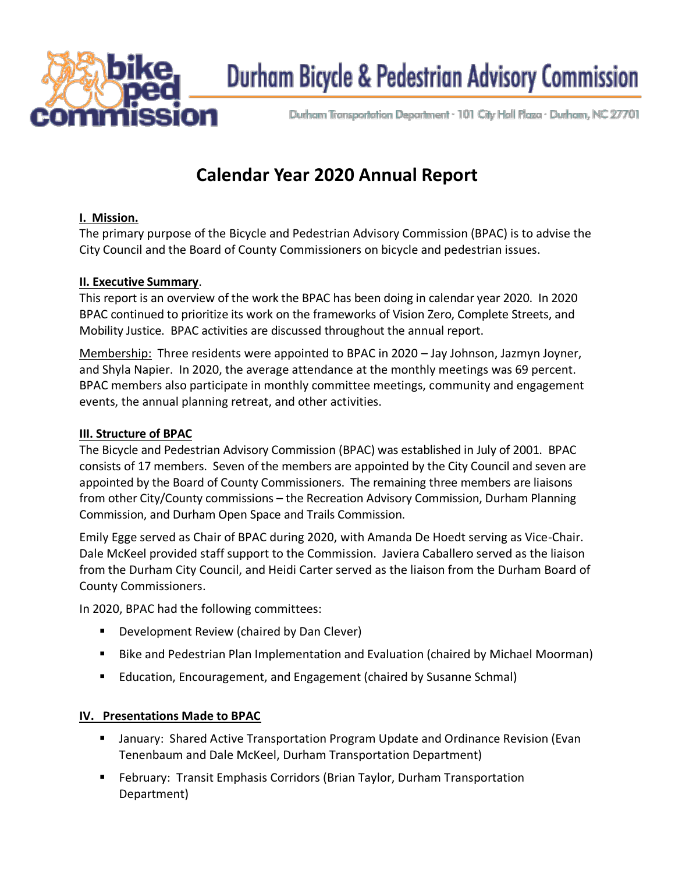

# Durham Bicycle & Pedestrian Advisory Commission

Durham Transportation Department - 101 City Hall Plaza - Durham, NC 27701

# **Calendar Year 2020 Annual Report**

#### **I. Mission.**

The primary purpose of the Bicycle and Pedestrian Advisory Commission (BPAC) is to advise the City Council and the Board of County Commissioners on bicycle and pedestrian issues.

#### **II. Executive Summary**.

This report is an overview of the work the BPAC has been doing in calendar year 2020. In 2020 BPAC continued to prioritize its work on the frameworks of Vision Zero, Complete Streets, and Mobility Justice. BPAC activities are discussed throughout the annual report.

Membership: Three residents were appointed to BPAC in 2020 – Jay Johnson, Jazmyn Joyner, and Shyla Napier. In 2020, the average attendance at the monthly meetings was 69 percent. BPAC members also participate in monthly committee meetings, community and engagement events, the annual planning retreat, and other activities.

#### **III. Structure of BPAC**

The Bicycle and Pedestrian Advisory Commission (BPAC) was established in July of 2001. BPAC consists of 17 members. Seven of the members are appointed by the City Council and seven are appointed by the Board of County Commissioners. The remaining three members are liaisons from other City/County commissions – the Recreation Advisory Commission, Durham Planning Commission, and Durham Open Space and Trails Commission.

Emily Egge served as Chair of BPAC during 2020, with Amanda De Hoedt serving as Vice-Chair. Dale McKeel provided staff support to the Commission. Javiera Caballero served as the liaison from the Durham City Council, and Heidi Carter served as the liaison from the Durham Board of County Commissioners.

In 2020, BPAC had the following committees:

- Development Review (chaired by Dan Clever)
- Bike and Pedestrian Plan Implementation and Evaluation (chaired by Michael Moorman)
- Education, Encouragement, and Engagement (chaired by Susanne Schmal)

#### **IV. Presentations Made to BPAC**

- January: Shared Active Transportation Program Update and Ordinance Revision (Evan Tenenbaum and Dale McKeel, Durham Transportation Department)
- **E** February: Transit Emphasis Corridors (Brian Taylor, Durham Transportation Department)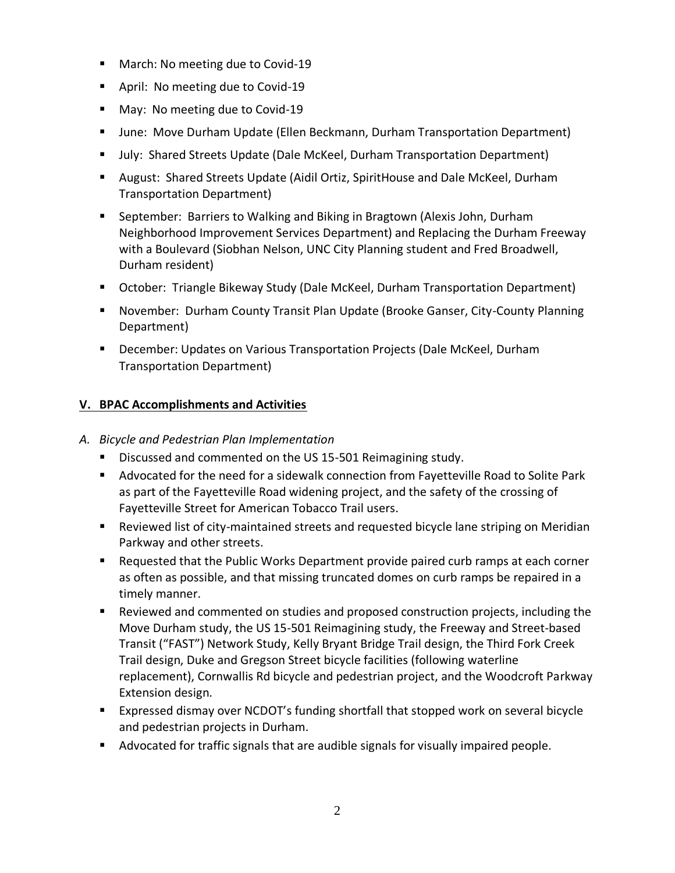- March: No meeting due to Covid-19
- April: No meeting due to Covid-19
- May: No meeting due to Covid-19
- **■** June: Move Durham Update (Ellen Beckmann, Durham Transportation Department)
- July: Shared Streets Update (Dale McKeel, Durham Transportation Department)
- August: Shared Streets Update (Aidil Ortiz, SpiritHouse and Dale McKeel, Durham Transportation Department)
- September: Barriers to Walking and Biking in Bragtown (Alexis John, Durham Neighborhood Improvement Services Department) and Replacing the Durham Freeway with a Boulevard (Siobhan Nelson, UNC City Planning student and Fred Broadwell, Durham resident)
- October: Triangle Bikeway Study (Dale McKeel, Durham Transportation Department)
- November: Durham County Transit Plan Update (Brooke Ganser, City-County Planning Department)
- **•** December: Updates on Various Transportation Projects (Dale McKeel, Durham Transportation Department)

# **V. BPAC Accomplishments and Activities**

# *A. Bicycle and Pedestrian Plan Implementation*

- Discussed and commented on the US 15-501 Reimagining study.
- Advocated for the need for a sidewalk connection from Fayetteville Road to Solite Park as part of the Fayetteville Road widening project, and the safety of the crossing of Fayetteville Street for American Tobacco Trail users.
- Reviewed list of city-maintained streets and requested bicycle lane striping on Meridian Parkway and other streets.
- Requested that the Public Works Department provide paired curb ramps at each corner as often as possible, and that missing truncated domes on curb ramps be repaired in a timely manner.
- Reviewed and commented on studies and proposed construction projects, including the Move Durham study, the US 15-501 Reimagining study, the Freeway and Street-based Transit ("FAST") Network Study, Kelly Bryant Bridge Trail design, the Third Fork Creek Trail design, Duke and Gregson Street bicycle facilities (following waterline replacement), Cornwallis Rd bicycle and pedestrian project, and the Woodcroft Parkway Extension design.
- Expressed dismay over NCDOT's funding shortfall that stopped work on several bicycle and pedestrian projects in Durham.
- Advocated for traffic signals that are audible signals for visually impaired people.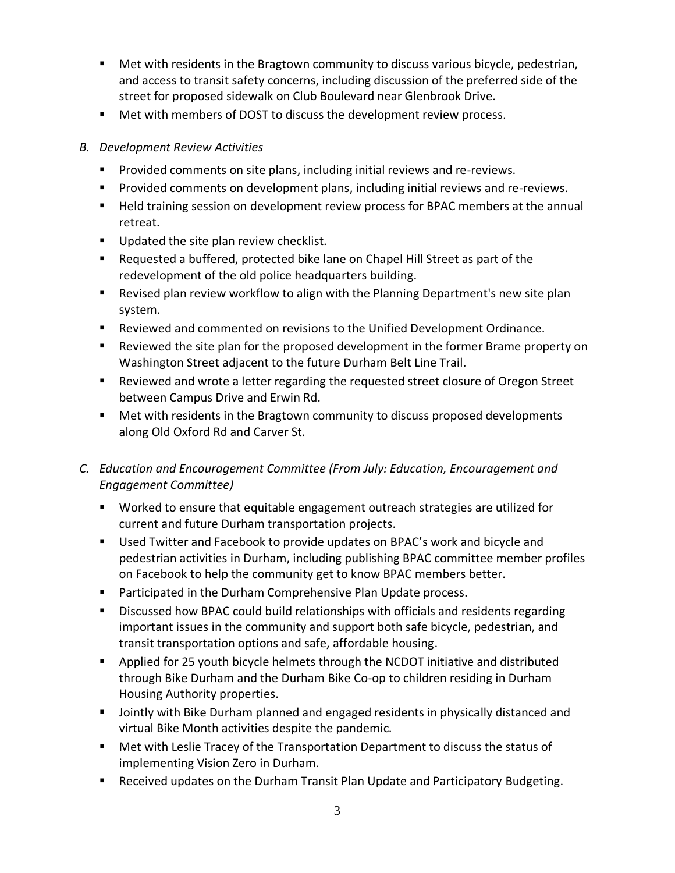- Met with residents in the Bragtown community to discuss various bicycle, pedestrian, and access to transit safety concerns, including discussion of the preferred side of the street for proposed sidewalk on Club Boulevard near Glenbrook Drive.
- Met with members of DOST to discuss the development review process.

### *B. Development Review Activities*

- Provided comments on site plans, including initial reviews and re-reviews.
- Provided comments on development plans, including initial reviews and re-reviews.
- Held training session on development review process for BPAC members at the annual retreat.
- Updated the site plan review checklist.
- Requested a buffered, protected bike lane on Chapel Hill Street as part of the redevelopment of the old police headquarters building.
- Revised plan review workflow to align with the Planning Department's new site plan system.
- Reviewed and commented on revisions to the Unified Development Ordinance.
- Reviewed the site plan for the proposed development in the former Brame property on Washington Street adjacent to the future Durham Belt Line Trail.
- Reviewed and wrote a letter regarding the requested street closure of Oregon Street between Campus Drive and Erwin Rd.
- Met with residents in the Bragtown community to discuss proposed developments along Old Oxford Rd and Carver St.
- *C. Education and Encouragement Committee (From July: Education, Encouragement and Engagement Committee)*
	- Worked to ensure that equitable engagement outreach strategies are utilized for current and future Durham transportation projects.
	- Used Twitter and Facebook to provide updates on BPAC's work and bicycle and pedestrian activities in Durham, including publishing BPAC committee member profiles on Facebook to help the community get to know BPAC members better.
	- Participated in the Durham Comprehensive Plan Update process.
	- Discussed how BPAC could build relationships with officials and residents regarding important issues in the community and support both safe bicycle, pedestrian, and transit transportation options and safe, affordable housing.
	- Applied for 25 youth bicycle helmets through the NCDOT initiative and distributed through Bike Durham and the Durham Bike Co-op to children residing in Durham Housing Authority properties.
	- Jointly with Bike Durham planned and engaged residents in physically distanced and virtual Bike Month activities despite the pandemic.
	- Met with Leslie Tracey of the Transportation Department to discuss the status of implementing Vision Zero in Durham.
	- Received updates on the Durham Transit Plan Update and Participatory Budgeting.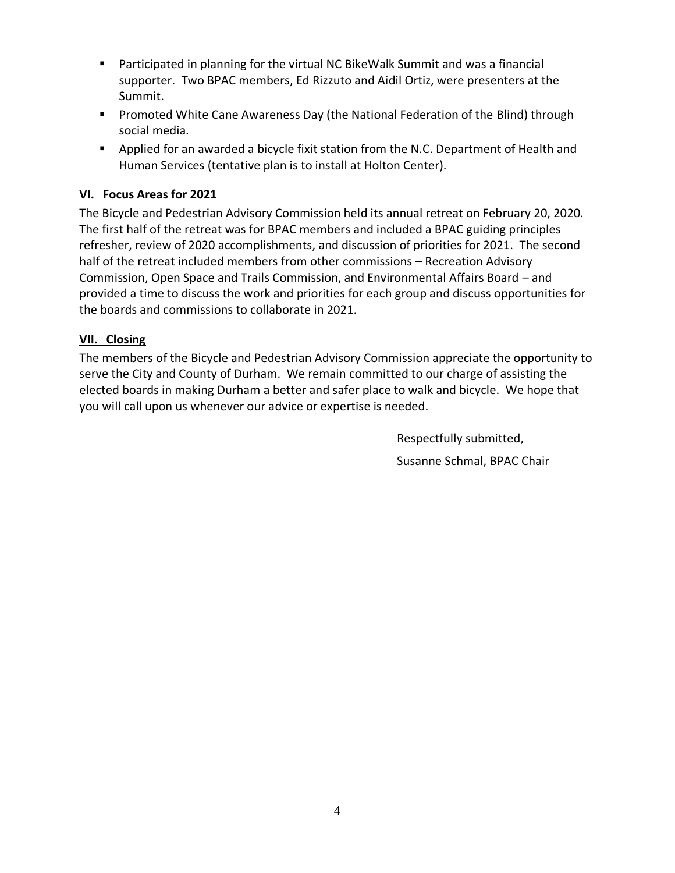- Participated in planning for the virtual NC BikeWalk Summit and was a financial supporter. Two BPAC members, Ed Rizzuto and Aidil Ortiz, were presenters at the Summit.
- Promoted White Cane Awareness Day (the National Federation of the Blind) through social media.
- Applied for an awarded a bicycle fixit station from the N.C. Department of Health and Human Services (tentative plan is to install at Holton Center).

# **VI. Focus Areas for 2021**

The Bicycle and Pedestrian Advisory Commission held its annual retreat on February 20, 2020. The first half of the retreat was for BPAC members and included a BPAC guiding principles refresher, review of 2020 accomplishments, and discussion of priorities for 2021. The second half of the retreat included members from other commissions – Recreation Advisory Commission, Open Space and Trails Commission, and Environmental Affairs Board – and provided a time to discuss the work and priorities for each group and discuss opportunities for the boards and commissions to collaborate in 2021.

## **VII. Closing**

The members of the Bicycle and Pedestrian Advisory Commission appreciate the opportunity to serve the City and County of Durham. We remain committed to our charge of assisting the elected boards in making Durham a better and safer place to walk and bicycle. We hope that you will call upon us whenever our advice or expertise is needed.

> Respectfully submitted, Susanne Schmal, BPAC Chair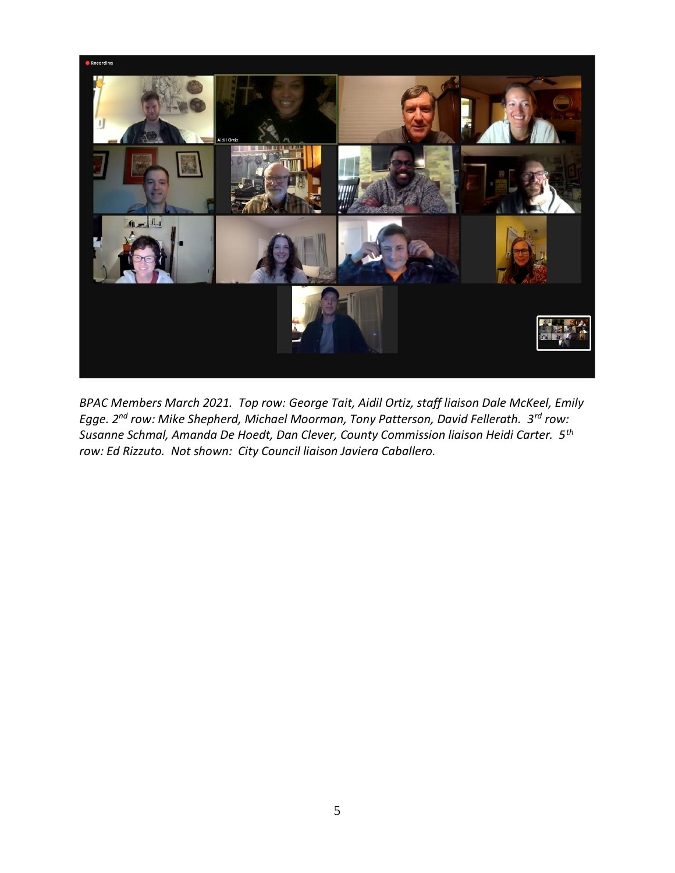

*BPAC Members March 2021. Top row: George Tait, Aidil Ortiz, staff liaison Dale McKeel, Emily Egge. 2nd row: Mike Shepherd, Michael Moorman, Tony Patterson, David Fellerath. 3rd row: Susanne Schmal, Amanda De Hoedt, Dan Clever, County Commission liaison Heidi Carter. 5th row: Ed Rizzuto. Not shown: City Council liaison Javiera Caballero.*